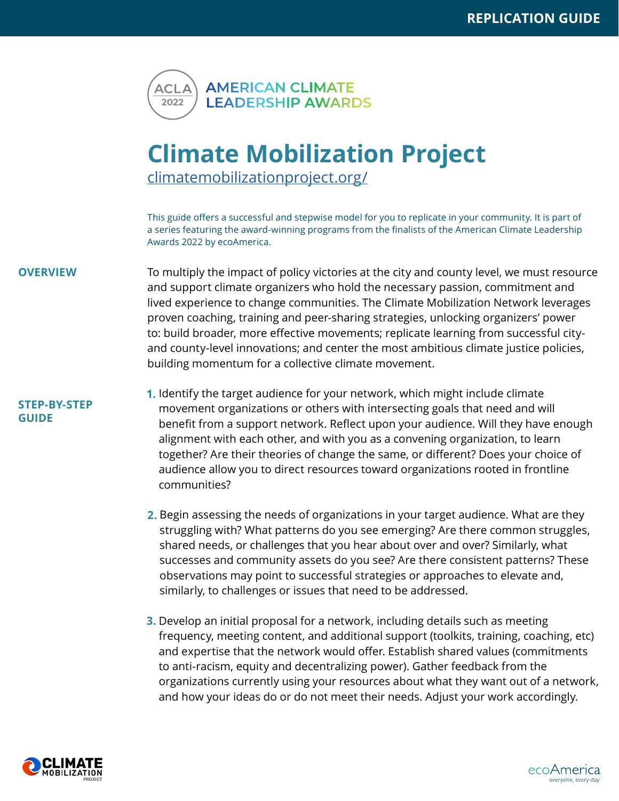

## **Climate Mobilization Project**

<climatemobilizationproject.org/>

This guide offers a successful and stepwise model for you to replicate in your community. It is part of a series featuring the award-winning programs from the finalists of the American Climate Leadership Awards 2022 by ecoAmerica.

## **OVERVIEW** To multiply the impact of policy victories at the city and county level, we must resource and support climate organizers who hold the necessary passion, commitment and lived experience to change communities. The Climate Mobilization Network leverages proven coaching, training and peer-sharing strategies, unlocking organizers' power to: build broader, more effective movements; replicate learning from successful cityand county-level innovations; and center the most ambitious climate justice policies, building momentum for a collective climate movement.

## **STEP-BY-STEP GUIDE**

- **1.** Identify the target audience for your network, which might include climate movement organizations or others with intersecting goals that need and will benefit from a support network. Reflect upon your audience. Will they have enough alignment with each other, and with you as a convening organization, to learn together? Are their theories of change the same, or different? Does your choice of audience allow you to direct resources toward organizations rooted in frontline communities?
- Begin assessing the needs of organizations in your target audience. What are they **2.** struggling with? What patterns do you see emerging? Are there common struggles, shared needs, or challenges that you hear about over and over? Similarly, what successes and community assets do you see? Are there consistent patterns? These observations may point to successful strategies or approaches to elevate and, similarly, to challenges or issues that need to be addressed.
- **3.** Develop an initial proposal for a network, including details such as meeting frequency, meeting content, and additional support (toolkits, training, coaching, etc) and expertise that the network would offer. Establish shared values (commitments to anti-racism, equity and decentralizing power). Gather feedback from the organizations currently using your resources about what they want out of a network, and how your ideas do or do not meet their needs. Adjust your work accordingly.



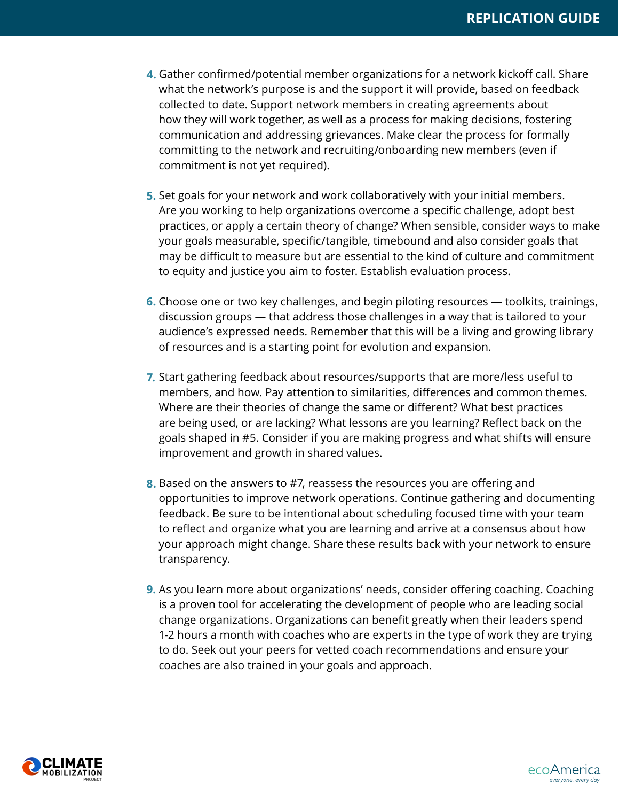- Gather confirmed/potential member organizations for a network kickoff call. Share **4.**what the network's purpose is and the support it will provide, based on feedback collected to date. Support network members in creating agreements about how they will work together, as well as a process for making decisions, fostering communication and addressing grievances. Make clear the process for formally committing to the network and recruiting/onboarding new members (even if commitment is not yet required).
- Set goals for your network and work collaboratively with your initial members. **5.** Are you working to help organizations overcome a specific challenge, adopt best practices, or apply a certain theory of change? When sensible, consider ways to make your goals measurable, specific/tangible, timebound and also consider goals that may be difficult to measure but are essential to the kind of culture and commitment to equity and justice you aim to foster. Establish evaluation process.
- **6.** Choose one or two key challenges, and begin piloting resources toolkits, trainings, discussion groups — that address those challenges in a way that is tailored to your audience's expressed needs. Remember that this will be a living and growing library of resources and is a starting point for evolution and expansion.
- **7.** Start gathering feedback about resources/supports that are more/less useful to members, and how. Pay attention to similarities, differences and common themes. Where are their theories of change the same or different? What best practices are being used, or are lacking? What lessons are you learning? Reflect back on the goals shaped in #5. Consider if you are making progress and what shifts will ensure improvement and growth in shared values.
- Based on the answers to #7, reassess the resources you are offering and **8.** opportunities to improve network operations. Continue gathering and documenting feedback. Be sure to be intentional about scheduling focused time with your team to reflect and organize what you are learning and arrive at a consensus about how your approach might change. Share these results back with your network to ensure transparency.
- As you learn more about organizations' needs, consider offering coaching. Coaching **9.** is a proven tool for accelerating the development of people who are leading social change organizations. Organizations can benefit greatly when their leaders spend 1-2 hours a month with coaches who are experts in the type of work they are trying to do. Seek out your peers for vetted coach recommendations and ensure your coaches are also trained in your goals and approach.